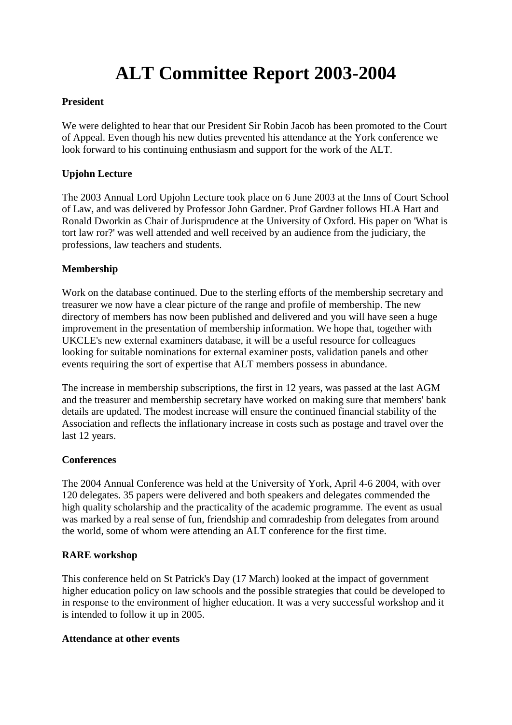# **ALT Committee Report 2003-2004**

## **President**

We were delighted to hear that our President Sir Robin Jacob has been promoted to the Court of Appeal. Even though his new duties prevented his attendance at the York conference we look forward to his continuing enthusiasm and support for the work of the ALT.

## **Upjohn Lecture**

The 2003 Annual Lord Upjohn Lecture took place on 6 June 2003 at the Inns of Court School of Law, and was delivered by Professor John Gardner. Prof Gardner follows HLA Hart and Ronald Dworkin as Chair of Jurisprudence at the University of Oxford. His paper on 'What is tort law ror?' was well attended and well received by an audience from the judiciary, the professions, law teachers and students.

## **Membership**

Work on the database continued. Due to the sterling efforts of the membership secretary and treasurer we now have a clear picture of the range and profile of membership. The new directory of members has now been published and delivered and you will have seen a huge improvement in the presentation of membership information. We hope that, together with UKCLE's new external examiners database, it will be a useful resource for colleagues looking for suitable nominations for external examiner posts, validation panels and other events requiring the sort of expertise that ALT members possess in abundance.

The increase in membership subscriptions, the first in 12 years, was passed at the last AGM and the treasurer and membership secretary have worked on making sure that members' bank details are updated. The modest increase will ensure the continued financial stability of the Association and reflects the inflationary increase in costs such as postage and travel over the last 12 years.

## **Conferences**

The 2004 Annual Conference was held at the University of York, April 4-6 2004, with over 120 delegates. 35 papers were delivered and both speakers and delegates commended the high quality scholarship and the practicality of the academic programme. The event as usual was marked by a real sense of fun, friendship and comradeship from delegates from around the world, some of whom were attending an ALT conference for the first time.

# **RARE workshop**

This conference held on St Patrick's Day (17 March) looked at the impact of government higher education policy on law schools and the possible strategies that could be developed to in response to the environment of higher education. It was a very successful workshop and it is intended to follow it up in 2005.

## **Attendance at other events**